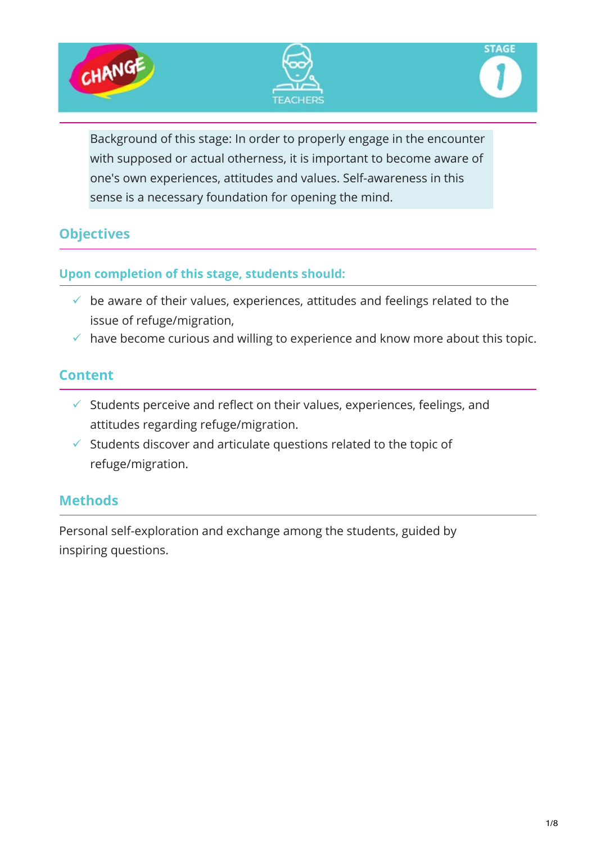





Background of this stage: In order to properly engage in the encounter with supposed or actual otherness, it is important to become aware of one's own experiences, attitudes and values. Self-awareness in this sense is a necessary foundation for opening the mind.

## **Objectives**

#### **Upon completion of this stage, students should:**

- $\checkmark$  be aware of their values, experiences, attitudes and feelings related to the issue of refuge/migration,
- $\checkmark$  have become curious and willing to experience and know more about this topic.

#### **Content**

- $\checkmark$  Students perceive and reflect on their values, experiences, feelings, and attitudes regarding refuge/migration.
- $\checkmark$  Students discover and articulate questions related to the topic of refuge/migration.

## **Methods**

Personal self-exploration and exchange among the students, guided by inspiring questions.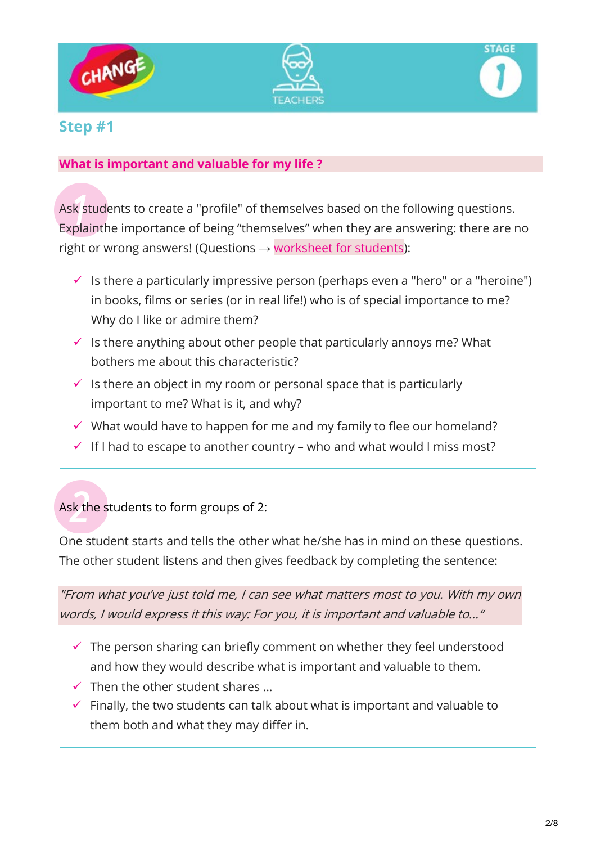





## **Step #1**

#### **What is important and valuable for my life ?**

Ask students to create a "profile" of themselves based on the following questions. Explainthe importance of being "themselves" when they are answering: there are no right or wrong answers! (Questions  $\rightarrow$  worksheet for students):

- Is there a particularly impressive person (perhaps even a "hero" or a "heroine") in books, films or series (or in real life!) who is of special importance to me? Why do I like or admire them?
- $\checkmark$  is there anything about other people that particularly annoys me? What bothers me about this characteristic?
- $\checkmark$  Is there an object in my room or personal space that is particularly important to me? What is it, and why?
- $\checkmark$  What would have to happen for me and my family to flee our homeland?
- $\checkmark$  If I had to escape to another country who and what would I miss most?

Ask the students to form groups of 2:

One student starts and tells the other what he/she has in mind on these questions. The other student listens and then gives feedback by completing the sentence:

"From what you've just told me, I can see what matters most to you. With my own words, I would express it this way: For you, it is important and valuable to..."

- $\checkmark$  The person sharing can briefly comment on whether they feel understood and how they would describe what is important and valuable to them.
- $\checkmark$  Then the other student shares ...
- $\checkmark$  Finally, the two students can talk about what is important and valuable to them both and what they may differ in.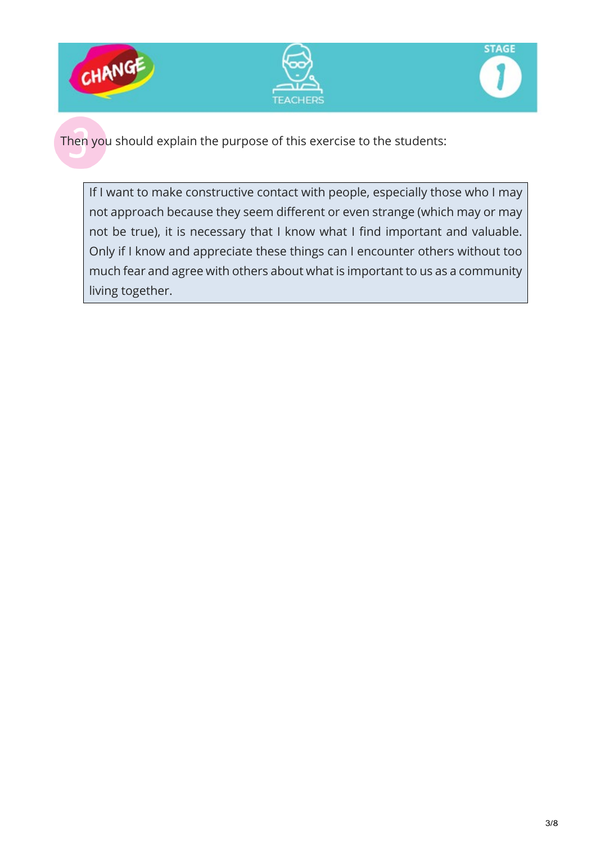





Then you should explain the purpose of this exercise to the students:

If I want to make constructive contact with people, especially those who I may not approach because they seem different or even strange (which may or may not be true), it is necessary that I know what I find important and valuable. Only if I know and appreciate these things can I encounter others without too much fear and agree with others about what is important to us as a community living together.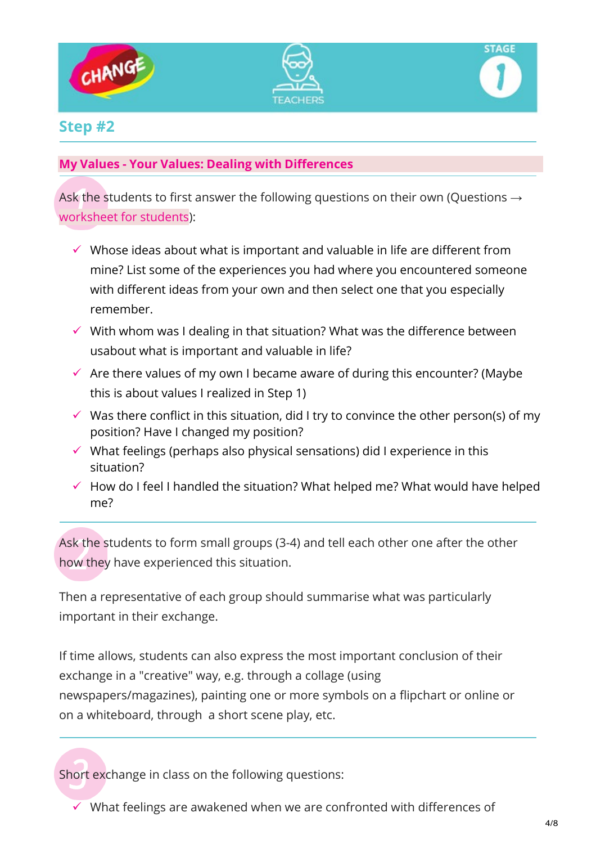





### **Step #2**

#### **My Values - Your Values: Dealing with Differences**

Ask the students to first answer the following questions on their own (Questions  $\rightarrow$ worksheet for students):

- $\checkmark$  Whose ideas about what is important and valuable in life are different from mine? List some of the experiences you had where you encountered someone with different ideas from your own and then select one that you especially remember.
- $\checkmark$  With whom was I dealing in that situation? What was the difference between usabout what is important and valuable in life?
- $\checkmark$  Are there values of my own I became aware of during this encounter? (Maybe this is about values I realized in Step 1)
- $\checkmark$  Was there conflict in this situation, did I try to convince the other person(s) of my position? Have I changed my position?
- $\checkmark$  What feelings (perhaps also physical sensations) did I experience in this situation?
- $\checkmark$  How do I feel I handled the situation? What helped me? What would have helped me?

Ask the students to form small groups (3-4) and tell each other one after the other how they have experienced this situation.

Then a representative of each group should summarise what was particularly important in their exchange.

If time allows, students can also express the most important conclusion of their exchange in a "creative" way, e.g. through a collage (using newspapers/magazines), painting one or more symbols on a flipchart or online or on a whiteboard, through a short scene play, etc.

Short exchange in class on the following questions:

 $\checkmark$  What feelings are awakened when we are confronted with differences of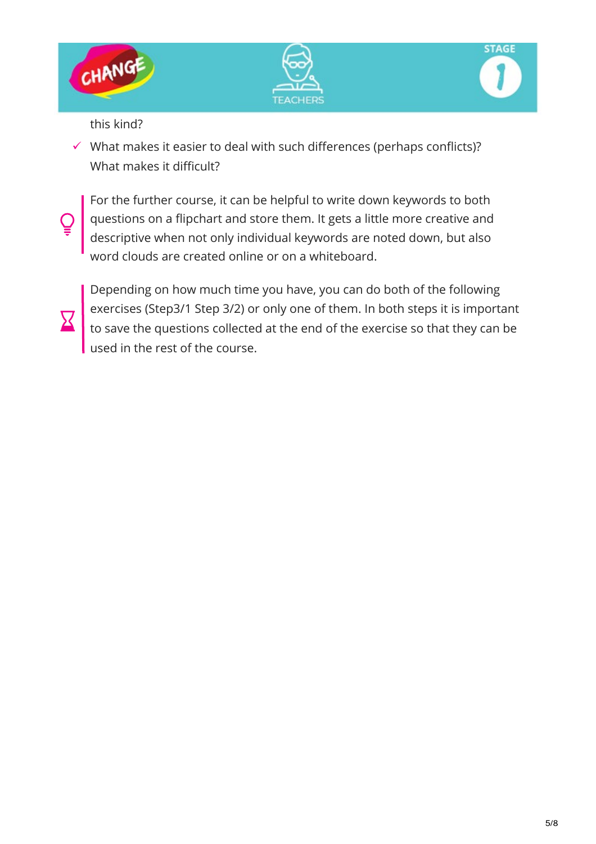





this kind?

 $\checkmark$  What makes it easier to deal with such differences (perhaps conflicts)? What makes it difficult?

For the further course, it can be helpful to write down keywords to both questions on a flipchart and store them. It gets a little more creative and descriptive when not only individual keywords are noted down, but also word clouds are created online or on a whiteboard.



Depending on how much time you have, you can do both of the following exercises (Step3/1 Step 3/2) or only one of them. In both steps it is important to save the questions collected at the end of the exercise so that they can be used in the rest of the course.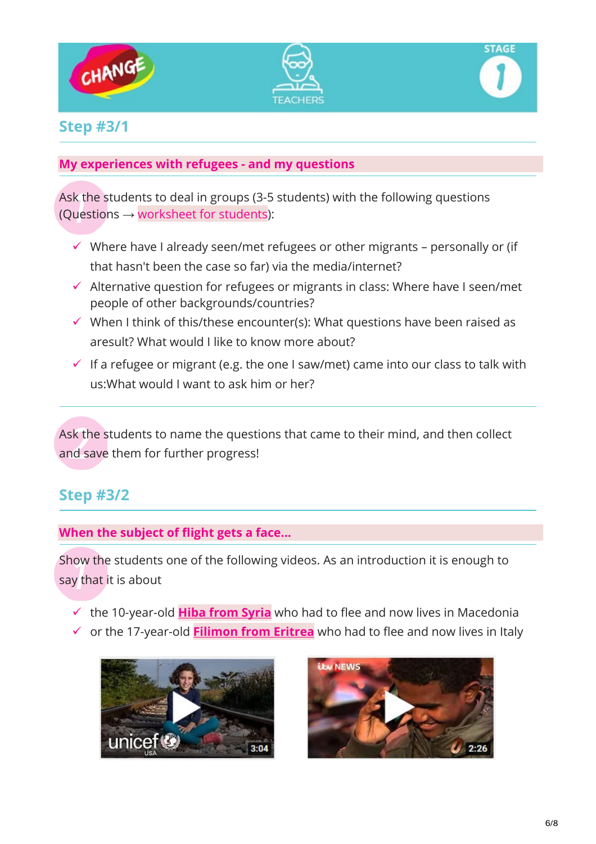





## **Step #3/1**

#### **My experiences with refugees - and my questions**

Ask the students to deal in groups (3-5 students) with the following questions (Questions  $\rightarrow$  worksheet for students):

- $\checkmark$  Where have I already seen/met refugees or other migrants personally or (if that hasn't been the case so far) via the media/internet?
- $\checkmark$  Alternative question for refugees or migrants in class: Where have I seen/met people of other backgrounds/countries?
- $\checkmark$  When I think of this/these encounter(s): What questions have been raised as aresult? What would I like to know more about?
- $\checkmark$  If a refugee or migrant (e.g. the one I saw/met) came into our class to talk with us:What would I want to ask him or her?

Ask the students to name the questions that came to their mind, and then collect and save them for further progress!

# **Step #3/2**

#### **When the subject of flight gets a face...**

Show the students one of the following videos. As an introduction it is enough to say that it is about

- $\checkmark$  the 10-year-old **[Hiba from Syria](https://www.youtube.com/watch?v=7QVmXX62_H0)** who had to flee and now lives in Macedonia
- or the 17-year-old **[Filimon](https://www.youtube.com/watch?v=3VWsMP9oyPg) from Eritrea** who had to flee and now lives in Italy



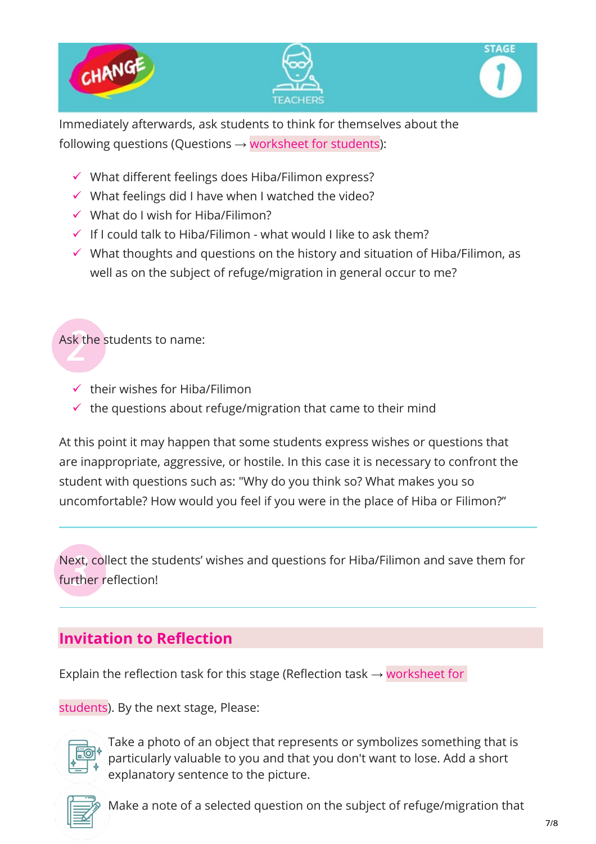

Immediately afterwards, ask students to think for themselves about the following questions (Questions  $\rightarrow$  worksheet for students):

- $\checkmark$  What different feelings does Hiba/Filimon express?
- $\checkmark$  What feelings did I have when I watched the video?
- $\checkmark$  What do I wish for Hiba/Filimon?
- $\checkmark$  If I could talk to Hiba/Filimon what would I like to ask them?
- $\checkmark$  What thoughts and questions on the history and situation of Hiba/Filimon, as well as on the subject of refuge/migration in general occur to me?

Ask the students to name:

- $\checkmark$  their wishes for Hiba/Filimon
- $\checkmark$  the questions about refuge/migration that came to their mind

At this point it may happen that some students express wishes or questions that are inappropriate, aggressive, or hostile. In this case it is necessary to confront the student with questions such as: "Why do you think so? What makes you so uncomfortable? How would you feel if you were in the place of Hiba or Filimon?"

Next, collect the students' wishes and questions for Hiba/Filimon and save them for further reflection!

# **Invitation to Reflection**

Explain the reflection task for this stage (Reflection task  $\rightarrow$  [worksheet for](https://www.jrschange.org/student-stage-one/#fifthInk)

[students\)](https://www.jrschange.org/student-stage-one/#fifthInk). By the next stage, Please:



Take a photo of an object that represents or symbolizes something that is particularly valuable to you and that you don't want to lose. Add a short explanatory sentence to the picture.



Make a note of a selected question on the subject of refuge/migration that